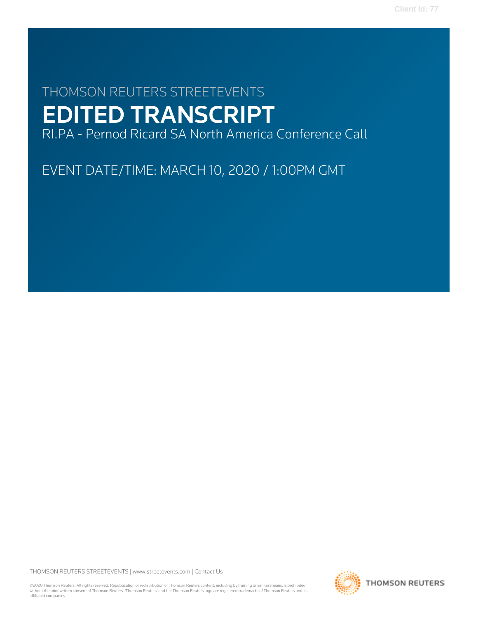# THOMSON REUTERS STREETEVENTS EDITED TRANSCRIPT

RI.PA - Pernod Ricard SA North America Conference Call

EVENT DATE/TIME: MARCH 10, 2020 / 1:00PM GMT

THOMSON REUTERS STREETEVENTS | [www.streetevents.com](http://www.streetevents.com) | [Contact Us](http://www010.streetevents.com/contact.asp)

©2020 Thomson Reuters. All rights reserved. Republication or redistribution of Thomson Reuters content, including by framing or similar means, is prohibited without the prior written consent of Thomson Reuters. 'Thomson Reuters' and the Thomson Reuters logo are registered trademarks of Thomson Reuters and its affiliated companies.

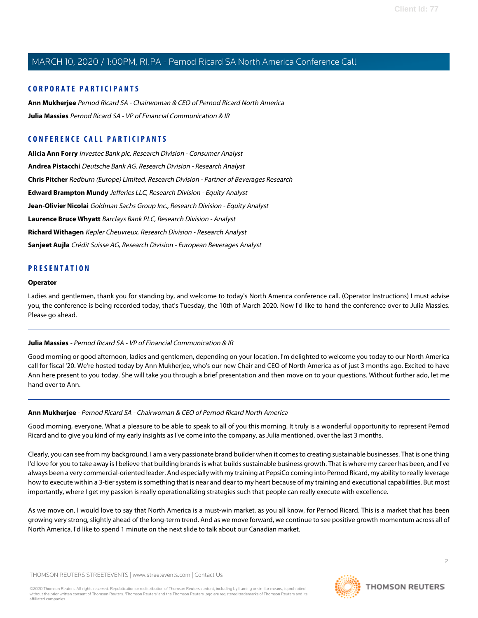### **CORPORATE PARTICIPANTS**

**[Ann Mukherjee](#page-1-0)** Pernod Ricard SA - Chairwoman & CEO of Pernod Ricard North America **[Julia Massies](#page-1-1)** Pernod Ricard SA - VP of Financial Communication & IR

# **CONFERENCE CALL PARTICIPANTS**

**[Alicia Ann Forry](#page-10-0)** Investec Bank plc, Research Division - Consumer Analyst **[Andrea Pistacchi](#page-9-0)** Deutsche Bank AG, Research Division - Research Analyst **[Chris Pitcher](#page-8-0)** Redburn (Europe) Limited, Research Division - Partner of Beverages Research **[Edward Brampton Mundy](#page-4-0)** Jefferies LLC, Research Division - Equity Analyst **[Jean-Olivier Nicolai](#page-5-0)** Goldman Sachs Group Inc., Research Division - Equity Analyst **[Laurence Bruce Whyatt](#page-5-1)** Barclays Bank PLC, Research Division - Analyst **[Richard Withagen](#page-7-0)** Kepler Cheuvreux, Research Division - Research Analyst **[Sanjeet Aujla](#page-6-0)** Crédit Suisse AG, Research Division - European Beverages Analyst

# **PRESENTATION**

#### **Operator**

<span id="page-1-1"></span>Ladies and gentlemen, thank you for standing by, and welcome to today's North America conference call. (Operator Instructions) I must advise you, the conference is being recorded today, that's Tuesday, the 10th of March 2020. Now I'd like to hand the conference over to Julia Massies. Please go ahead.

### **Julia Massies** - Pernod Ricard SA - VP of Financial Communication & IR

<span id="page-1-0"></span>Good morning or good afternoon, ladies and gentlemen, depending on your location. I'm delighted to welcome you today to our North America call for fiscal '20. We're hosted today by Ann Mukherjee, who's our new Chair and CEO of North America as of just 3 months ago. Excited to have Ann here present to you today. She will take you through a brief presentation and then move on to your questions. Without further ado, let me hand over to Ann.

#### **Ann Mukherjee** - Pernod Ricard SA - Chairwoman & CEO of Pernod Ricard North America

Good morning, everyone. What a pleasure to be able to speak to all of you this morning. It truly is a wonderful opportunity to represent Pernod Ricard and to give you kind of my early insights as I've come into the company, as Julia mentioned, over the last 3 months.

Clearly, you can see from my background, I am a very passionate brand builder when it comes to creating sustainable businesses. That is one thing I'd love for you to take away is I believe that building brands is what builds sustainable business growth. That is where my career has been, and I've always been a very commercial-oriented leader. And especially with my training at PepsiCo coming into Pernod Ricard, my ability to really leverage how to execute within a 3-tier system is something that is near and dear to my heart because of my training and executional capabilities. But most importantly, where I get my passion is really operationalizing strategies such that people can really execute with excellence.

As we move on, I would love to say that North America is a must-win market, as you all know, for Pernod Ricard. This is a market that has been growing very strong, slightly ahead of the long-term trend. And as we move forward, we continue to see positive growth momentum across all of North America. I'd like to spend 1 minute on the next slide to talk about our Canadian market.

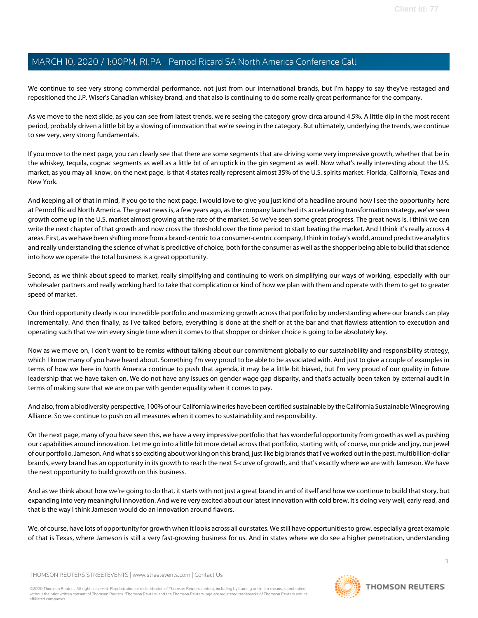We continue to see very strong commercial performance, not just from our international brands, but I'm happy to say they've restaged and repositioned the J.P. Wiser's Canadian whiskey brand, and that also is continuing to do some really great performance for the company.

As we move to the next slide, as you can see from latest trends, we're seeing the category grow circa around 4.5%. A little dip in the most recent period, probably driven a little bit by a slowing of innovation that we're seeing in the category. But ultimately, underlying the trends, we continue to see very, very strong fundamentals.

If you move to the next page, you can clearly see that there are some segments that are driving some very impressive growth, whether that be in the whiskey, tequila, cognac segments as well as a little bit of an uptick in the gin segment as well. Now what's really interesting about the U.S. market, as you may all know, on the next page, is that 4 states really represent almost 35% of the U.S. spirits market: Florida, California, Texas and New York.

And keeping all of that in mind, if you go to the next page, I would love to give you just kind of a headline around how I see the opportunity here at Pernod Ricard North America. The great news is, a few years ago, as the company launched its accelerating transformation strategy, we've seen growth come up in the U.S. market almost growing at the rate of the market. So we've seen some great progress. The great news is, I think we can write the next chapter of that growth and now cross the threshold over the time period to start beating the market. And I think it's really across 4 areas. First, as we have been shifting more from a brand-centric to a consumer-centric company, I think in today's world, around predictive analytics and really understanding the science of what is predictive of choice, both for the consumer as well as the shopper being able to build that science into how we operate the total business is a great opportunity.

Second, as we think about speed to market, really simplifying and continuing to work on simplifying our ways of working, especially with our wholesaler partners and really working hard to take that complication or kind of how we plan with them and operate with them to get to greater speed of market.

Our third opportunity clearly is our incredible portfolio and maximizing growth across that portfolio by understanding where our brands can play incrementally. And then finally, as I've talked before, everything is done at the shelf or at the bar and that flawless attention to execution and operating such that we win every single time when it comes to that shopper or drinker choice is going to be absolutely key.

Now as we move on, I don't want to be remiss without talking about our commitment globally to our sustainability and responsibility strategy, which I know many of you have heard about. Something I'm very proud to be able to be associated with. And just to give a couple of examples in terms of how we here in North America continue to push that agenda, it may be a little bit biased, but I'm very proud of our quality in future leadership that we have taken on. We do not have any issues on gender wage gap disparity, and that's actually been taken by external audit in terms of making sure that we are on par with gender equality when it comes to pay.

And also, from a biodiversity perspective, 100% of our California wineries have been certified sustainable by the California Sustainable Winegrowing Alliance. So we continue to push on all measures when it comes to sustainability and responsibility.

On the next page, many of you have seen this, we have a very impressive portfolio that has wonderful opportunity from growth as well as pushing our capabilities around innovation. Let me go into a little bit more detail across that portfolio, starting with, of course, our pride and joy, our jewel of our portfolio, Jameson. And what's so exciting about working on this brand, just like big brands that I've worked out in the past, multibillion-dollar brands, every brand has an opportunity in its growth to reach the next S-curve of growth, and that's exactly where we are with Jameson. We have the next opportunity to build growth on this business.

And as we think about how we're going to do that, it starts with not just a great brand in and of itself and how we continue to build that story, but expanding into very meaningful innovation. And we're very excited about our latest innovation with cold brew. It's doing very well, early read, and that is the way I think Jameson would do an innovation around flavors.

We, of course, have lots of opportunity for growth when it looks across all our states. We still have opportunities to grow, especially a great example of that is Texas, where Jameson is still a very fast-growing business for us. And in states where we do see a higher penetration, understanding

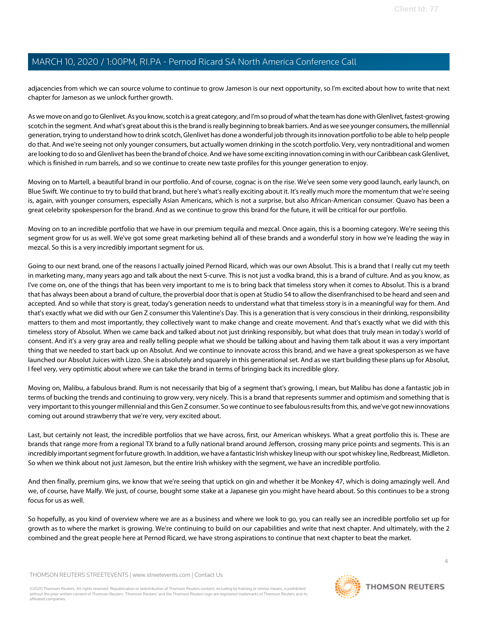adjacencies from which we can source volume to continue to grow Jameson is our next opportunity, so I'm excited about how to write that next chapter for Jameson as we unlock further growth.

As we move on and go to Glenlivet. As you know, scotch is a great category, and I'm so proud of what the team has done with Glenlivet, fastest-growing scotch in the segment. And what's great about this is the brand is really beginning to break barriers. And as we see younger consumers, the millennial generation, trying to understand how to drink scotch, Glenlivet has done a wonderful job through its innovation portfolio to be able to help people do that. And we're seeing not only younger consumers, but actually women drinking in the scotch portfolio. Very, very nontraditional and women are looking to do so and Glenlivet has been the brand of choice. And we have some exciting innovation coming in with our Caribbean cask Glenlivet, which is finished in rum barrels, and so we continue to create new taste profiles for this younger generation to enjoy.

Moving on to Martell, a beautiful brand in our portfolio. And of course, cognac is on the rise. We've seen some very good launch, early launch, on Blue Swift. We continue to try to build that brand, but here's what's really exciting about it. It's really much more the momentum that we're seeing is, again, with younger consumers, especially Asian Americans, which is not a surprise, but also African-American consumer. Quavo has been a great celebrity spokesperson for the brand. And as we continue to grow this brand for the future, it will be critical for our portfolio.

Moving on to an incredible portfolio that we have in our premium tequila and mezcal. Once again, this is a booming category. We're seeing this segment grow for us as well. We've got some great marketing behind all of these brands and a wonderful story in how we're leading the way in mezcal. So this is a very incredibly important segment for us.

Going to our next brand, one of the reasons I actually joined Pernod Ricard, which was our own Absolut. This is a brand that I really cut my teeth in marketing many, many years ago and talk about the next S-curve. This is not just a vodka brand, this is a brand of culture. And as you know, as I've come on, one of the things that has been very important to me is to bring back that timeless story when it comes to Absolut. This is a brand that has always been about a brand of culture, the proverbial door that is open at Studio 54 to allow the disenfranchised to be heard and seen and accepted. And so while that story is great, today's generation needs to understand what that timeless story is in a meaningful way for them. And that's exactly what we did with our Gen Z consumer this Valentine's Day. This is a generation that is very conscious in their drinking, responsibility matters to them and most importantly, they collectively want to make change and create movement. And that's exactly what we did with this timeless story of Absolut. When we came back and talked about not just drinking responsibly, but what does that truly mean in today's world of consent. And it's a very gray area and really telling people what we should be talking about and having them talk about it was a very important thing that we needed to start back up on Absolut. And we continue to innovate across this brand, and we have a great spokesperson as we have launched our Absolut Juices with Lizzo. She is absolutely and squarely in this generational set. And as we start building these plans up for Absolut, I feel very, very optimistic about where we can take the brand in terms of bringing back its incredible glory.

Moving on, Malibu, a fabulous brand. Rum is not necessarily that big of a segment that's growing, I mean, but Malibu has done a fantastic job in terms of bucking the trends and continuing to grow very, very nicely. This is a brand that represents summer and optimism and something that is very important to this younger millennial and this Gen Z consumer. So we continue to see fabulous results from this, and we've got new innovations coming out around strawberry that we're very, very excited about.

Last, but certainly not least, the incredible portfolios that we have across, first, our American whiskeys. What a great portfolio this is. These are brands that range more from a regional TX brand to a fully national brand around Jefferson, crossing many price points and segments. This is an incredibly important segment for future growth. In addition, we have a fantastic Irish whiskey lineup with our spot whiskey line, Redbreast, Midleton. So when we think about not just Jameson, but the entire Irish whiskey with the segment, we have an incredible portfolio.

And then finally, premium gins, we know that we're seeing that uptick on gin and whether it be Monkey 47, which is doing amazingly well. And we, of course, have Malfy. We just, of course, bought some stake at a Japanese gin you might have heard about. So this continues to be a strong focus for us as well.

So hopefully, as you kind of overview where we are as a business and where we look to go, you can really see an incredible portfolio set up for growth as to where the market is growing. We're continuing to build on our capabilities and write that next chapter. And ultimately, with the 2 combined and the great people here at Pernod Ricard, we have strong aspirations to continue that next chapter to beat the market.

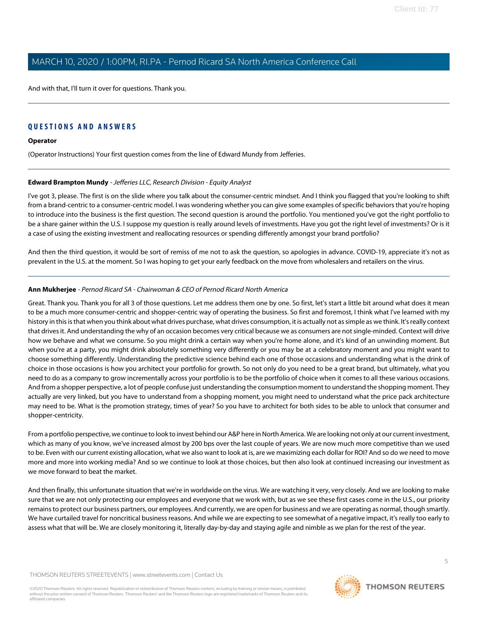And with that, I'll turn it over for questions. Thank you.

# **QUESTIONS AND ANSWERS**

### **Operator**

<span id="page-4-0"></span>(Operator Instructions) Your first question comes from the line of Edward Mundy from Jefferies.

### **Edward Brampton Mundy** - Jefferies LLC, Research Division - Equity Analyst

I've got 3, please. The first is on the slide where you talk about the consumer-centric mindset. And I think you flagged that you're looking to shift from a brand-centric to a consumer-centric model. I was wondering whether you can give some examples of specific behaviors that you're hoping to introduce into the business is the first question. The second question is around the portfolio. You mentioned you've got the right portfolio to be a share gainer within the U.S. I suppose my question is really around levels of investments. Have you got the right level of investments? Or is it a case of using the existing investment and reallocating resources or spending differently amongst your brand portfolio?

And then the third question, it would be sort of remiss of me not to ask the question, so apologies in advance. COVID-19, appreciate it's not as prevalent in the U.S. at the moment. So I was hoping to get your early feedback on the move from wholesalers and retailers on the virus.

#### **Ann Mukherjee** - Pernod Ricard SA - Chairwoman & CEO of Pernod Ricard North America

Great. Thank you. Thank you for all 3 of those questions. Let me address them one by one. So first, let's start a little bit around what does it mean to be a much more consumer-centric and shopper-centric way of operating the business. So first and foremost, I think what I've learned with my history in this is that when you think about what drives purchase, what drives consumption, it is actually not as simple as we think. It's really context that drives it. And understanding the why of an occasion becomes very critical because we as consumers are not single-minded. Context will drive how we behave and what we consume. So you might drink a certain way when you're home alone, and it's kind of an unwinding moment. But when you're at a party, you might drink absolutely something very differently or you may be at a celebratory moment and you might want to choose something differently. Understanding the predictive science behind each one of those occasions and understanding what is the drink of choice in those occasions is how you architect your portfolio for growth. So not only do you need to be a great brand, but ultimately, what you need to do as a company to grow incrementally across your portfolio is to be the portfolio of choice when it comes to all these various occasions. And from a shopper perspective, a lot of people confuse just understanding the consumption moment to understand the shopping moment. They actually are very linked, but you have to understand from a shopping moment, you might need to understand what the price pack architecture may need to be. What is the promotion strategy, times of year? So you have to architect for both sides to be able to unlock that consumer and shopper-centricity.

From a portfolio perspective, we continue to look to invest behind our A&P here in North America. We are looking not only at our current investment, which as many of you know, we've increased almost by 200 bps over the last couple of years. We are now much more competitive than we used to be. Even with our current existing allocation, what we also want to look at is, are we maximizing each dollar for ROI? And so do we need to move more and more into working media? And so we continue to look at those choices, but then also look at continued increasing our investment as we move forward to beat the market.

And then finally, this unfortunate situation that we're in worldwide on the virus. We are watching it very, very closely. And we are looking to make sure that we are not only protecting our employees and everyone that we work with, but as we see these first cases come in the U.S., our priority remains to protect our business partners, our employees. And currently, we are open for business and we are operating as normal, though smartly. We have curtailed travel for noncritical business reasons. And while we are expecting to see somewhat of a negative impact, it's really too early to assess what that will be. We are closely monitoring it, literally day-by-day and staying agile and nimble as we plan for the rest of the year.

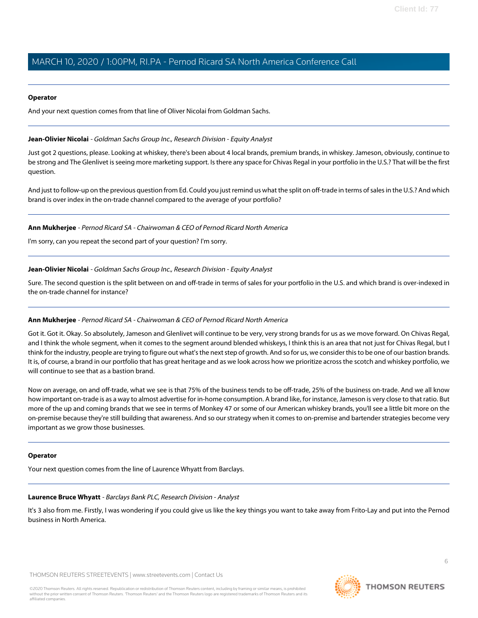#### **Operator**

And your next question comes from that line of Oliver Nicolai from Goldman Sachs.

### <span id="page-5-0"></span>**Jean-Olivier Nicolai** - Goldman Sachs Group Inc., Research Division - Equity Analyst

Just got 2 questions, please. Looking at whiskey, there's been about 4 local brands, premium brands, in whiskey. Jameson, obviously, continue to be strong and The Glenlivet is seeing more marketing support. Is there any space for Chivas Regal in your portfolio in the U.S.? That will be the first question.

And just to follow-up on the previous question from Ed. Could you just remind us what the split on off-trade in terms of sales in the U.S.? And which brand is over index in the on-trade channel compared to the average of your portfolio?

### **Ann Mukherjee** - Pernod Ricard SA - Chairwoman & CEO of Pernod Ricard North America

I'm sorry, can you repeat the second part of your question? I'm sorry.

### **Jean-Olivier Nicolai** - Goldman Sachs Group Inc., Research Division - Equity Analyst

Sure. The second question is the split between on and off-trade in terms of sales for your portfolio in the U.S. and which brand is over-indexed in the on-trade channel for instance?

### **Ann Mukherjee** - Pernod Ricard SA - Chairwoman & CEO of Pernod Ricard North America

Got it. Got it. Okay. So absolutely, Jameson and Glenlivet will continue to be very, very strong brands for us as we move forward. On Chivas Regal, and I think the whole segment, when it comes to the segment around blended whiskeys, I think this is an area that not just for Chivas Regal, but I think for the industry, people are trying to figure out what's the next step of growth. And so for us, we consider this to be one of our bastion brands. It is, of course, a brand in our portfolio that has great heritage and as we look across how we prioritize across the scotch and whiskey portfolio, we will continue to see that as a bastion brand.

Now on average, on and off-trade, what we see is that 75% of the business tends to be off-trade, 25% of the business on-trade. And we all know how important on-trade is as a way to almost advertise for in-home consumption. A brand like, for instance, Jameson is very close to that ratio. But more of the up and coming brands that we see in terms of Monkey 47 or some of our American whiskey brands, you'll see a little bit more on the on-premise because they're still building that awareness. And so our strategy when it comes to on-premise and bartender strategies become very important as we grow those businesses.

### <span id="page-5-1"></span>**Operator**

Your next question comes from the line of Laurence Whyatt from Barclays.

### **Laurence Bruce Whyatt** - Barclays Bank PLC, Research Division - Analyst

It's 3 also from me. Firstly, I was wondering if you could give us like the key things you want to take away from Frito-Lay and put into the Pernod business in North America.

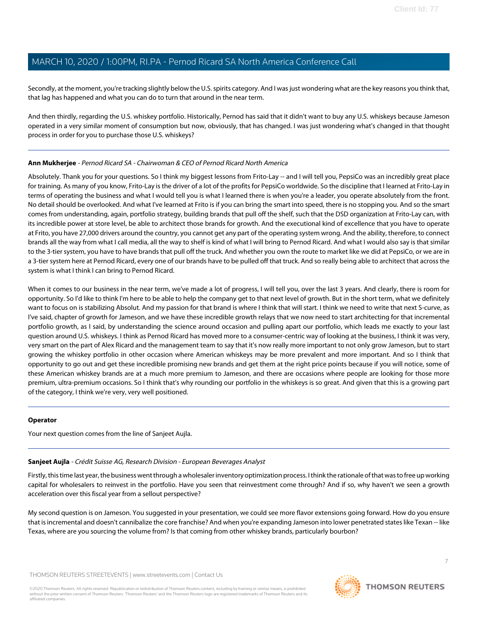Secondly, at the moment, you're tracking slightly below the U.S. spirits category. And I was just wondering what are the key reasons you think that, that lag has happened and what you can do to turn that around in the near term.

And then thirdly, regarding the U.S. whiskey portfolio. Historically, Pernod has said that it didn't want to buy any U.S. whiskeys because Jameson operated in a very similar moment of consumption but now, obviously, that has changed. I was just wondering what's changed in that thought process in order for you to purchase those U.S. whiskeys?

# **Ann Mukherjee** - Pernod Ricard SA - Chairwoman & CEO of Pernod Ricard North America

Absolutely. Thank you for your questions. So I think my biggest lessons from Frito-Lay -- and I will tell you, PepsiCo was an incredibly great place for training. As many of you know, Frito-Lay is the driver of a lot of the profits for PepsiCo worldwide. So the discipline that I learned at Frito-Lay in terms of operating the business and what I would tell you is what I learned there is when you're a leader, you operate absolutely from the front. No detail should be overlooked. And what I've learned at Frito is if you can bring the smart into speed, there is no stopping you. And so the smart comes from understanding, again, portfolio strategy, building brands that pull off the shelf, such that the DSD organization at Frito-Lay can, with its incredible power at store level, be able to architect those brands for growth. And the executional kind of excellence that you have to operate at Frito, you have 27,000 drivers around the country, you cannot get any part of the operating system wrong. And the ability, therefore, to connect brands all the way from what I call media, all the way to shelf is kind of what I will bring to Pernod Ricard. And what I would also say is that similar to the 3-tier system, you have to have brands that pull off the truck. And whether you own the route to market like we did at PepsiCo, or we are in a 3-tier system here at Pernod Ricard, every one of our brands have to be pulled off that truck. And so really being able to architect that across the system is what I think I can bring to Pernod Ricard.

When it comes to our business in the near term, we've made a lot of progress, I will tell you, over the last 3 years. And clearly, there is room for opportunity. So I'd like to think I'm here to be able to help the company get to that next level of growth. But in the short term, what we definitely want to focus on is stabilizing Absolut. And my passion for that brand is where I think that will start. I think we need to write that next S-curve, as I've said, chapter of growth for Jameson, and we have these incredible growth relays that we now need to start architecting for that incremental portfolio growth, as I said, by understanding the science around occasion and pulling apart our portfolio, which leads me exactly to your last question around U.S. whiskeys. I think as Pernod Ricard has moved more to a consumer-centric way of looking at the business, I think it was very, very smart on the part of Alex Ricard and the management team to say that it's now really more important to not only grow Jameson, but to start growing the whiskey portfolio in other occasion where American whiskeys may be more prevalent and more important. And so I think that opportunity to go out and get these incredible promising new brands and get them at the right price points because if you will notice, some of these American whiskey brands are at a much more premium to Jameson, and there are occasions where people are looking for those more premium, ultra-premium occasions. So I think that's why rounding our portfolio in the whiskeys is so great. And given that this is a growing part of the category, I think we're very, very well positioned.

### <span id="page-6-0"></span>**Operator**

Your next question comes from the line of Sanjeet Aujla.

# **Sanjeet Aujla** - Crédit Suisse AG, Research Division - European Beverages Analyst

Firstly, this time last year, the business went through a wholesaler inventory optimization process. I think the rationale of that was to free up working capital for wholesalers to reinvest in the portfolio. Have you seen that reinvestment come through? And if so, why haven't we seen a growth acceleration over this fiscal year from a sellout perspective?

My second question is on Jameson. You suggested in your presentation, we could see more flavor extensions going forward. How do you ensure that is incremental and doesn't cannibalize the core franchise? And when you're expanding Jameson into lower penetrated states like Texan -- like Texas, where are you sourcing the volume from? Is that coming from other whiskey brands, particularly bourbon?

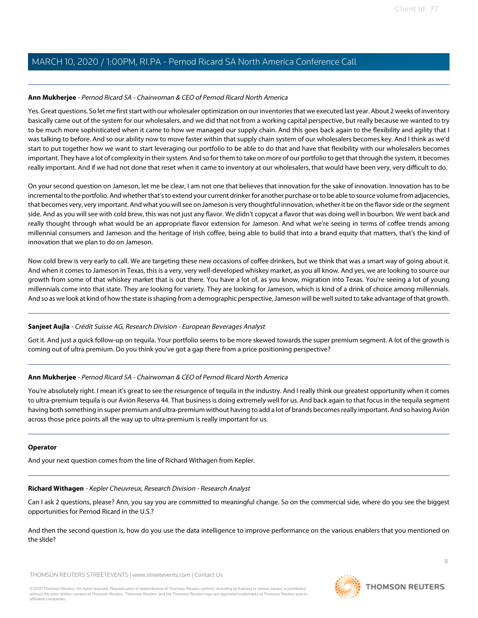### **Ann Mukherjee** - Pernod Ricard SA - Chairwoman & CEO of Pernod Ricard North America

Yes. Great questions. So let me first start with our wholesaler optimization on our inventories that we executed last year. About 2 weeks of inventory basically came out of the system for our wholesalers, and we did that not from a working capital perspective, but really because we wanted to try to be much more sophisticated when it came to how we managed our supply chain. And this goes back again to the flexibility and agility that I was talking to before. And so our ability now to move faster within that supply chain system of our wholesalers becomes key. And I think as we'd start to put together how we want to start leveraging our portfolio to be able to do that and have that flexibility with our wholesalers becomes important. They have a lot of complexity in their system. And so for them to take on more of our portfolio to get that through the system, it becomes really important. And if we had not done that reset when it came to inventory at our wholesalers, that would have been very, very difficult to do.

On your second question on Jameson, let me be clear, I am not one that believes that innovation for the sake of innovation. Innovation has to be incremental to the portfolio. And whether that's to extend your current drinker for another purchase or to be able to source volume from adjacencies, that becomes very, very important. And what you will see on Jameson is very thoughtful innovation, whether it be on the flavor side or the segment side. And as you will see with cold brew, this was not just any flavor. We didn't copycat a flavor that was doing well in bourbon. We went back and really thought through what would be an appropriate flavor extension for Jameson. And what we're seeing in terms of coffee trends among millennial consumers and Jameson and the heritage of Irish coffee, being able to build that into a brand equity that matters, that's the kind of innovation that we plan to do on Jameson.

Now cold brew is very early to call. We are targeting these new occasions of coffee drinkers, but we think that was a smart way of going about it. And when it comes to Jameson in Texas, this is a very, very well-developed whiskey market, as you all know. And yes, we are looking to source our growth from some of that whiskey market that is out there. You have a lot of, as you know, migration into Texas. You're seeing a lot of young millennials come into that state. They are looking for variety. They are looking for Jameson, which is kind of a drink of choice among millennials. And so as we look at kind of how the state is shaping from a demographic perspective, Jameson will be well suited to take advantage of that growth.

### **Sanjeet Aujla** - Crédit Suisse AG, Research Division - European Beverages Analyst

Got it. And just a quick follow-up on tequila. Your portfolio seems to be more skewed towards the super premium segment. A lot of the growth is coming out of ultra premium. Do you think you've got a gap there from a price positioning perspective?

# **Ann Mukherjee** - Pernod Ricard SA - Chairwoman & CEO of Pernod Ricard North America

You're absolutely right. I mean it's great to see the resurgence of tequila in the industry. And I really think our greatest opportunity when it comes to ultra-premium tequila is our Avión Reserva 44. That business is doing extremely well for us. And back again to that focus in the tequila segment having both something in super premium and ultra-premium without having to add a lot of brands becomes really important. And so having Avión across those price points all the way up to ultra-premium is really important for us.

### <span id="page-7-0"></span>**Operator**

And your next question comes from the line of Richard Withagen from Kepler.

### **Richard Withagen** - Kepler Cheuvreux, Research Division - Research Analyst

Can I ask 2 questions, please? Ann, you say you are committed to meaningful change. So on the commercial side, where do you see the biggest opportunities for Pernod Ricard in the U.S.?

And then the second question is, how do you use the data intelligence to improve performance on the various enablers that you mentioned on the slide?

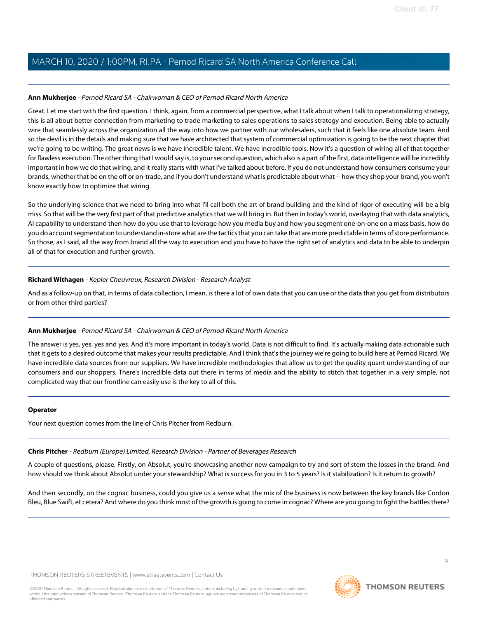### **Ann Mukherjee** - Pernod Ricard SA - Chairwoman & CEO of Pernod Ricard North America

Great. Let me start with the first question. I think, again, from a commercial perspective, what I talk about when I talk to operationalizing strategy, this is all about better connection from marketing to trade marketing to sales operations to sales strategy and execution. Being able to actually wire that seamlessly across the organization all the way into how we partner with our wholesalers, such that it feels like one absolute team. And so the devil is in the details and making sure that we have architected that system of commercial optimization is going to be the next chapter that we're going to be writing. The great news is we have incredible talent. We have incredible tools. Now it's a question of wiring all of that together for flawless execution. The other thing that I would say is, to your second question, which also is a part of the first, data intelligence will be incredibly important in how we do that wiring, and it really starts with what I've talked about before. If you do not understand how consumers consume your brands, whether that be on the off or on-trade, and if you don't understand what is predictable about what -- how they shop your brand, you won't know exactly how to optimize that wiring.

So the underlying science that we need to bring into what I'll call both the art of brand building and the kind of rigor of executing will be a big miss. So that will be the very first part of that predictive analytics that we will bring in. But then in today's world, overlaying that with data analytics, AI capability to understand then how do you use that to leverage how you media buy and how you segment one-on-one on a mass basis, how do you do account segmentation to understand in-store what are the tactics that you can take that are more predictable in terms of store performance. So those, as I said, all the way from brand all the way to execution and you have to have the right set of analytics and data to be able to underpin all of that for execution and further growth.

### **Richard Withagen** - Kepler Cheuvreux, Research Division - Research Analyst

And as a follow-up on that, in terms of data collection, I mean, is there a lot of own data that you can use or the data that you get from distributors or from other third parties?

# **Ann Mukherjee** - Pernod Ricard SA - Chairwoman & CEO of Pernod Ricard North America

The answer is yes, yes, yes and yes. And it's more important in today's world. Data is not difficult to find. It's actually making data actionable such that it gets to a desired outcome that makes your results predictable. And I think that's the journey we're going to build here at Pernod Ricard. We have incredible data sources from our suppliers. We have incredible methodologies that allow us to get the quality quant understanding of our consumers and our shoppers. There's incredible data out there in terms of media and the ability to stitch that together in a very simple, not complicated way that our frontline can easily use is the key to all of this.

### <span id="page-8-0"></span>**Operator**

Your next question comes from the line of Chris Pitcher from Redburn.

# **Chris Pitcher** - Redburn (Europe) Limited, Research Division - Partner of Beverages Research

A couple of questions, please. Firstly, on Absolut, you're showcasing another new campaign to try and sort of stem the losses in the brand. And how should we think about Absolut under your stewardship? What is success for you in 3 to 5 years? Is it stabilization? Is it return to growth?

And then secondly, on the cognac business, could you give us a sense what the mix of the business is now between the key brands like Cordon Bleu, Blue Swift, et cetera? And where do you think most of the growth is going to come in cognac? Where are you going to fight the battles there?

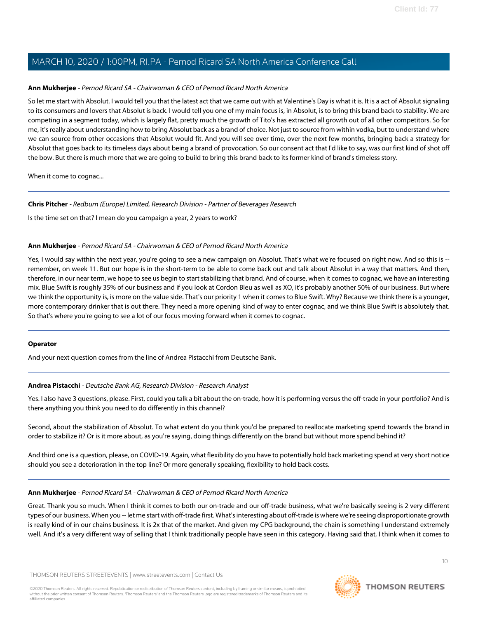### **Ann Mukherjee** - Pernod Ricard SA - Chairwoman & CEO of Pernod Ricard North America

So let me start with Absolut. I would tell you that the latest act that we came out with at Valentine's Day is what it is. It is a act of Absolut signaling to its consumers and lovers that Absolut is back. I would tell you one of my main focus is, in Absolut, is to bring this brand back to stability. We are competing in a segment today, which is largely flat, pretty much the growth of Tito's has extracted all growth out of all other competitors. So for me, it's really about understanding how to bring Absolut back as a brand of choice. Not just to source from within vodka, but to understand where we can source from other occasions that Absolut would fit. And you will see over time, over the next few months, bringing back a strategy for Absolut that goes back to its timeless days about being a brand of provocation. So our consent act that I'd like to say, was our first kind of shot off the bow. But there is much more that we are going to build to bring this brand back to its former kind of brand's timeless story.

When it come to cognac...

### **Chris Pitcher** - Redburn (Europe) Limited, Research Division - Partner of Beverages Research

Is the time set on that? I mean do you campaign a year, 2 years to work?

### **Ann Mukherjee** - Pernod Ricard SA - Chairwoman & CEO of Pernod Ricard North America

Yes, I would say within the next year, you're going to see a new campaign on Absolut. That's what we're focused on right now. And so this is - remember, on week 11. But our hope is in the short-term to be able to come back out and talk about Absolut in a way that matters. And then, therefore, in our near term, we hope to see us begin to start stabilizing that brand. And of course, when it comes to cognac, we have an interesting mix. Blue Swift is roughly 35% of our business and if you look at Cordon Bleu as well as XO, it's probably another 50% of our business. But where we think the opportunity is, is more on the value side. That's our priority 1 when it comes to Blue Swift. Why? Because we think there is a younger, more contemporary drinker that is out there. They need a more opening kind of way to enter cognac, and we think Blue Swift is absolutely that. So that's where you're going to see a lot of our focus moving forward when it comes to cognac.

### <span id="page-9-0"></span>**Operator**

And your next question comes from the line of Andrea Pistacchi from Deutsche Bank.

### **Andrea Pistacchi** - Deutsche Bank AG, Research Division - Research Analyst

Yes. I also have 3 questions, please. First, could you talk a bit about the on-trade, how it is performing versus the off-trade in your portfolio? And is there anything you think you need to do differently in this channel?

Second, about the stabilization of Absolut. To what extent do you think you'd be prepared to reallocate marketing spend towards the brand in order to stabilize it? Or is it more about, as you're saying, doing things differently on the brand but without more spend behind it?

And third one is a question, please, on COVID-19. Again, what flexibility do you have to potentially hold back marketing spend at very short notice should you see a deterioration in the top line? Or more generally speaking, flexibility to hold back costs.

### **Ann Mukherjee** - Pernod Ricard SA - Chairwoman & CEO of Pernod Ricard North America

Great. Thank you so much. When I think it comes to both our on-trade and our off-trade business, what we're basically seeing is 2 very different types of our business. When you -- let me start with off-trade first. What's interesting about off-trade is where we're seeing disproportionate growth is really kind of in our chains business. It is 2x that of the market. And given my CPG background, the chain is something I understand extremely well. And it's a very different way of selling that I think traditionally people have seen in this category. Having said that, I think when it comes to

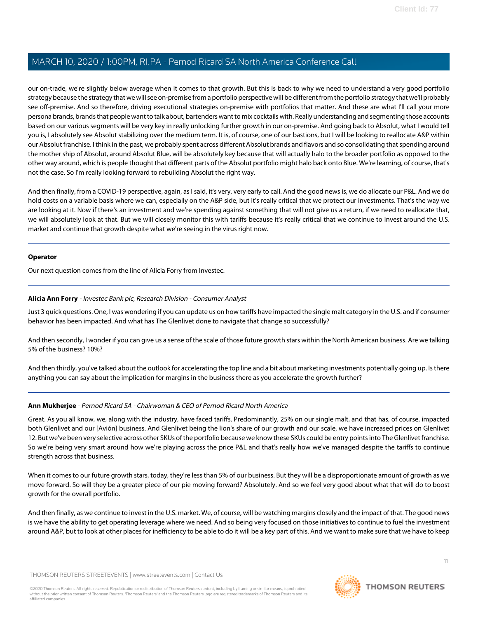our on-trade, we're slightly below average when it comes to that growth. But this is back to why we need to understand a very good portfolio strategy because the strategy that we will see on-premise from a portfolio perspective will be different from the portfolio strategy that we'll probably see off-premise. And so therefore, driving executional strategies on-premise with portfolios that matter. And these are what I'll call your more persona brands, brands that people want to talk about, bartenders want to mix cocktails with. Really understanding and segmenting those accounts based on our various segments will be very key in really unlocking further growth in our on-premise. And going back to Absolut, what I would tell you is, I absolutely see Absolut stabilizing over the medium term. It is, of course, one of our bastions, but I will be looking to reallocate A&P within our Absolut franchise. I think in the past, we probably spent across different Absolut brands and flavors and so consolidating that spending around the mother ship of Absolut, around Absolut Blue, will be absolutely key because that will actually halo to the broader portfolio as opposed to the other way around, which is people thought that different parts of the Absolut portfolio might halo back onto Blue. We're learning, of course, that's not the case. So I'm really looking forward to rebuilding Absolut the right way.

And then finally, from a COVID-19 perspective, again, as I said, it's very, very early to call. And the good news is, we do allocate our P&L. And we do hold costs on a variable basis where we can, especially on the A&P side, but it's really critical that we protect our investments. That's the way we are looking at it. Now if there's an investment and we're spending against something that will not give us a return, if we need to reallocate that, we will absolutely look at that. But we will closely monitor this with tariffs because it's really critical that we continue to invest around the U.S. market and continue that growth despite what we're seeing in the virus right now.

### **Operator**

<span id="page-10-0"></span>Our next question comes from the line of Alicia Forry from Investec.

### **Alicia Ann Forry** - Investec Bank plc, Research Division - Consumer Analyst

Just 3 quick questions. One, I was wondering if you can update us on how tariffs have impacted the single malt category in the U.S. and if consumer behavior has been impacted. And what has The Glenlivet done to navigate that change so successfully?

And then secondly, I wonder if you can give us a sense of the scale of those future growth stars within the North American business. Are we talking 5% of the business? 10%?

And then thirdly, you've talked about the outlook for accelerating the top line and a bit about marketing investments potentially going up. Is there anything you can say about the implication for margins in the business there as you accelerate the growth further?

# **Ann Mukherjee** - Pernod Ricard SA - Chairwoman & CEO of Pernod Ricard North America

Great. As you all know, we, along with the industry, have faced tariffs. Predominantly, 25% on our single malt, and that has, of course, impacted both Glenlivet and our [Avión] business. And Glenlivet being the lion's share of our growth and our scale, we have increased prices on Glenlivet 12. But we've been very selective across other SKUs of the portfolio because we know these SKUs could be entry points into The Glenlivet franchise. So we're being very smart around how we're playing across the price P&L and that's really how we've managed despite the tariffs to continue strength across that business.

When it comes to our future growth stars, today, they're less than 5% of our business. But they will be a disproportionate amount of growth as we move forward. So will they be a greater piece of our pie moving forward? Absolutely. And so we feel very good about what that will do to boost growth for the overall portfolio.

And then finally, as we continue to invest in the U.S. market. We, of course, will be watching margins closely and the impact of that. The good news is we have the ability to get operating leverage where we need. And so being very focused on those initiatives to continue to fuel the investment around A&P, but to look at other places for inefficiency to be able to do it will be a key part of this. And we want to make sure that we have to keep

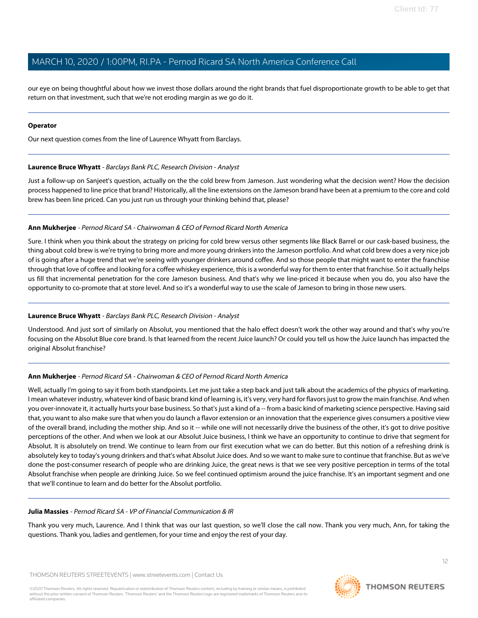our eye on being thoughtful about how we invest those dollars around the right brands that fuel disproportionate growth to be able to get that return on that investment, such that we're not eroding margin as we go do it.

### **Operator**

Our next question comes from the line of Laurence Whyatt from Barclays.

### **Laurence Bruce Whyatt** - Barclays Bank PLC, Research Division - Analyst

Just a follow-up on Sanjeet's question, actually on the the cold brew from Jameson. Just wondering what the decision went? How the decision process happened to line price that brand? Historically, all the line extensions on the Jameson brand have been at a premium to the core and cold brew has been line priced. Can you just run us through your thinking behind that, please?

# **Ann Mukherjee** - Pernod Ricard SA - Chairwoman & CEO of Pernod Ricard North America

Sure. I think when you think about the strategy on pricing for cold brew versus other segments like Black Barrel or our cask-based business, the thing about cold brew is we're trying to bring more and more young drinkers into the Jameson portfolio. And what cold brew does a very nice job of is going after a huge trend that we're seeing with younger drinkers around coffee. And so those people that might want to enter the franchise through that love of coffee and looking for a coffee whiskey experience, this is a wonderful way for them to enter that franchise. So it actually helps us fill that incremental penetration for the core Jameson business. And that's why we line-priced it because when you do, you also have the opportunity to co-promote that at store level. And so it's a wonderful way to use the scale of Jameson to bring in those new users.

# **Laurence Bruce Whyatt** - Barclays Bank PLC, Research Division - Analyst

Understood. And just sort of similarly on Absolut, you mentioned that the halo effect doesn't work the other way around and that's why you're focusing on the Absolut Blue core brand. Is that learned from the recent Juice launch? Or could you tell us how the Juice launch has impacted the original Absolut franchise?

# **Ann Mukherjee** - Pernod Ricard SA - Chairwoman & CEO of Pernod Ricard North America

Well, actually I'm going to say it from both standpoints. Let me just take a step back and just talk about the academics of the physics of marketing. I mean whatever industry, whatever kind of basic brand kind of learning is, it's very, very hard for flavors just to grow the main franchise. And when you over-innovate it, it actually hurts your base business. So that's just a kind of a -- from a basic kind of marketing science perspective. Having said that, you want to also make sure that when you do launch a flavor extension or an innovation that the experience gives consumers a positive view of the overall brand, including the mother ship. And so it -- while one will not necessarily drive the business of the other, it's got to drive positive perceptions of the other. And when we look at our Absolut Juice business, I think we have an opportunity to continue to drive that segment for Absolut. It is absolutely on trend. We continue to learn from our first execution what we can do better. But this notion of a refreshing drink is absolutely key to today's young drinkers and that's what Absolut Juice does. And so we want to make sure to continue that franchise. But as we've done the post-consumer research of people who are drinking Juice, the great news is that we see very positive perception in terms of the total Absolut franchise when people are drinking Juice. So we feel continued optimism around the juice franchise. It's an important segment and one that we'll continue to learn and do better for the Absolut portfolio.

# **Julia Massies** - Pernod Ricard SA - VP of Financial Communication & IR

Thank you very much, Laurence. And I think that was our last question, so we'll close the call now. Thank you very much, Ann, for taking the questions. Thank you, ladies and gentlemen, for your time and enjoy the rest of your day.